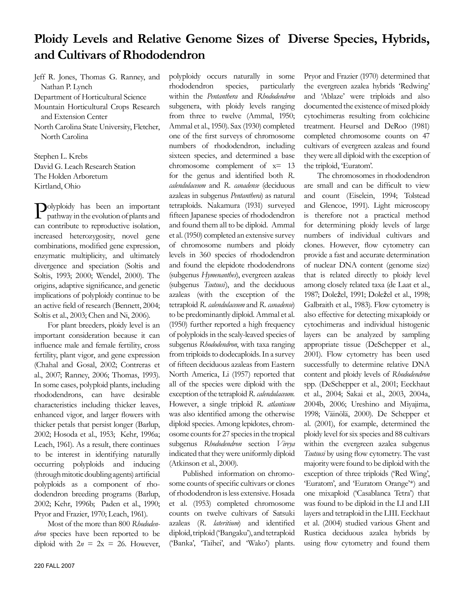# **Ploidy Levels and Relative Genome Sizes of Diverse Species, Hybrids, and Cultivars of Rhododendron**

Jeff R. Jones, Thomas G. Ranney, and Nathan P. Lynch

Department of Horticultural Science Mountain Horticultural Crops Research and Extension Center

North Carolina State University, Fletcher, North Carolina

Stephen L. Krebs David G. Leach Research Station The Holden Arboretum Kirtland, Ohio

Polyploidy has been an important pathway in the evolution of plants and can contribute to reproductive isolation, increased heterozygosity, novel gene combinations, modified gene expression, enzymatic multiplicity, and ultimately divergence and speciation (Soltis and Soltis, 1993; 2000; Wendel, 2000). The origins, adaptive significance, and genetic implications of polyploidy continue to be an active field of research (Bennett, 2004; Soltis et al., 2003; Chen and Ni, 2006).

For plant breeders, ploidy level is an important consideration because it can influence male and female fertility, cross fertility, plant vigor, and gene expression (Chahal and Gosal, 2002; Contreras et al., 2007; Ranney, 2006; Thomas, 1993). In some cases, polyploid plants, including rhododendrons, can have desirable characteristics including thicker leaves, enhanced vigor, and larger flowers with thicker petals that persist longer (Barlup, 2002; Hosoda et al., 1953; Kehr, 1996a; Leach, 1961). As a result, there continues to be interest in identifying naturally occurring polyploids and inducing (through mitotic doubling agents) artificial polyploids as a component of rhododendron breeding programs (Barlup, 2002; Kehr, 1996b; Paden et al., 1990; Pryor and Frazier, 1970; Leach, 1961).

Most of the more than 800 *Rhododendron* species have been reported to be diploid with  $2n = 2x = 26$ . However,

polyploidy occurs naturally in some rhododendron species, particularly within the *Pentanthera* and *Rhododendron* subgenera, with ploidy levels ranging from three to twelve (Ammal, 1950; Ammal et al., 1950). Sax (1930) completed one of the first surveys of chromosome numbers of rhododendron*,* including sixteen species, and determined a base chromosome complement of x= 13 for the genus and identified both *R. calendulaceum* and *R*. *canadense* (deciduous azaleas in subgenus *Pentanthera*) as natural tetraploids. Nakamura (1931) surveyed fifteen Japanese species of rhododendron and found them all to be diploid. Ammal et al. (1950) completed an extensive survey of chromosome numbers and ploidy levels in 360 species of rhododendron and found the elepidote rhododendrons (subgenus *Hymenanthes*), evergreen azaleas (subgenus *Tsutsusi*), and the deciduous azaleas (with the exception of the tetraploid *R. calendulaceum* and *R. canadense*) to be predominantly diploid. Ammal et al. (1950) further reported a high frequency of polyploids in the scaly-leaved species of subgenus *Rhododendron*, with taxa ranging from triploids to dodecaploids. In a survey of fifteen deciduous azaleas from Eastern North America, Li (1957) reported that all of the species were diploid with the exception of the tetraploid *R. calendulaceum.*  However, a single triploid *R. atlanticum* was also identified among the otherwise diploid species. Among lepidotes, chromosome counts for 27 species in the tropical subgenus *Rhododendron* section *Vireya* indicated that they were uniformly diploid (Atkinson et al., 2000).

Published information on chromosome counts of specific cultivars or clones of rhododendron is less extensive. Hosada et al. (1953) completed chromosome counts on twelve cultivars of Satsuki azaleas (*R. lateritium*) and identified diploid, triploid ('Bangaku'), and tetraploid ('Banka', 'Taihei', and 'Wako') plants.

Pryor and Frazier (1970) determined that the evergreen azalea hybrids 'Redwing' and 'Ablaze' were triploids and also documented the existence of mixed ploidy cytochimeras resulting from colchicine treatment. Heursel and DeRoo (1981) completed chromosome counts on 47 cultivars of evergreen azaleas and found they were all diploid with the exception of the triploid, 'Euratom'.

The chromosomes in rhododendron are small and can be difficult to view and count (Eiselein, 1994; Tolstead and Glencoe, 1991). Light microscopy is therefore not a practical method for determining ploidy levels of large numbers of individual cultivars and clones. However, flow cytometry can provide a fast and accurate determination of nuclear DNA content (genome size) that is related directly to ploidy level among closely related taxa (de Laat et al., 1987; Doležel, 1991; Doležel et al., 1998; Galbraith et al., 1983). Flow cytometry is also effective for detecting mixaploidy or cytochimeras and individual histogenic layers can be analyzed by sampling appropriate tissue (DeSchepper et al., 2001). Flow cytometry has been used successfully to determine relative DNA content and ploidy levels of *Rhododendron* spp. (DeSchepper et al., 2001; Eeckhaut et al., 2004; Sakai et al., 2003, 2004a, 2004b, 2006; Ureshino and Miyajima, 1998; Väinölä, 2000). De Schepper et al. (2001), for example, determined the ploidy level for six species and 88 cultivars within the evergreen azalea subgenus *Tsutsusi* by using flow cytometry. The vast majority were found to be diploid with the exception of three triploids ('Red Wing', 'Euratom', and 'Euratom Orange'\*) and one mixaploid ('Casablanca Tetra') that was found to be diploid in the LI and LII layers and tetraploid in the LIII. Eeckhaut et al. (2004) studied various Ghent and Rustica deciduous azalea hybrids by using flow cytometry and found them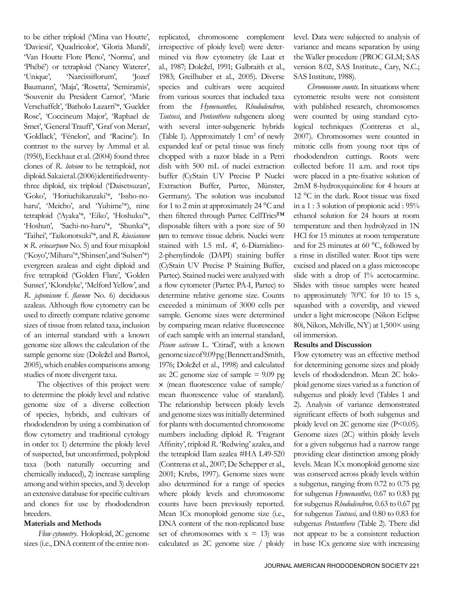to be either triploid ('Mina van Houtte', 'Daviesii', 'Quadricolor', 'Gloria Mundi', 'Van Houtte Flore Pleno', 'Norma', and 'Phébé') or tetraploid ('Nancy Waterer', 'Unique', 'Narcissiflorum', 'Jozef Baumann', 'Maja', 'Rosetta', 'Semiramis', 'Souvenir du President Carnot', 'Marie Verschaffelt', 'Batholo Lazarri'\*, 'Guelder Rose', 'Coccineum Major', 'Raphael de Smet', 'General Trauff', 'Graf von Meran', 'Goldlack', 'Fénelon', and 'Racine'). In contrast to the survey by Ammal et al. (1950), Eeckhaut et al. (2004) found three clones of *R. luteum* to be tetraploid, not diploid. Sakai et al. (2006) identified twentythree diploid, six triploid ('Daisetsuzan', 'Goko', 'Horiuchikanzaki'\*, 'Issho-noharu', 'Meicho', and 'Yuhime'\*), nine tetraploid ('Ayaka'\*, 'Eiko', 'Hoshuku'\*, 'Hoshun', 'Sachi-no-haru'\*, 'Shunka'\*, 'Taihei', 'Taikonotsuki'\*, and *R. kiusianum* × *R. eriocarpum* No. 5) and four mixaploid ('Koyo', 'Miharu'\*, 'Shinsen', and 'Sulsen'\*) evergreen azaleas and eight diploid and five tetraploid ('Golden Flare', 'Golden Sunset', 'Klondyke', 'Melford Yellow', and *R. japonicum* f. *flavum* No. 6) deciduous azaleas. Although flow cytometry can be used to directly compare relative genome sizes of tissue from related taxa, inclusion of an internal standard with a known genome size allows the calculation of the sample genome size (Doležel and Bartoš, 2005), which enables comparisons among studies of more divergent taxa.

The objectives of this project were to determine the ploidy level and relative genome size of a diverse collection of species, hybrids, and cultivars of rhododendron by using a combination of flow cytometry and traditional cytology in order to: 1) determine the ploidy level of suspected, but unconfirmed, polyploid taxa (both naturally occurring and chemically induced), 2) increase sampling among and within species, and 3) develop an extensive database for specific cultivars and clones for use by rhododendron breeders.

### **Materials and Methods**

*Flow cytometry*. Holoploid, 2C genome sizes (i.e., DNA content of the entire nonreplicated, chromosome complement irrespective of ploidy level) were determined via flow cytometry (de Laat et al., 1987; Doležel, 1991; Galbraith et al., 1983; Greilhuber et al., 2005). Diverse species and cultivars were acquired from various sources that included taxa from the *Hymenanthes, Rhododendron, Tsutsusi*, and *Pentanthera* subgenera along with several inter-subgeneric hybrids (Table 1). Approximately 1  $\text{cm}^2$  of newly expanded leaf or petal tissue was finely chopped with a razor blade in a Petri dish with 500 mL of nuclei extraction buffer (CyStain UV Precise P Nuclei Extraction Buffer, Partec, Münster, Germany). The solution was incubated for 1 to 2 min at approximately 24 °C and then filtered through Partec CellTrics™ disposable filters with a pore size of 50 mm to remove tissue debris. Nuclei were stained with 1.5 mL 4', 6-Diamidino-2-phenylindole (DAPI) staining buffer (CyStain UV Precise P Staining Buffer, Partec). Stained nuclei were analyzed with a flow cytometer (Partec PA-I, Partec) to determine relative genome size. Counts exceeded a minimum of 3000 cells per sample. Genome sizes were determined by comparing mean relative fluorescence of each sample with an internal standard, *Pisum sativum* L. 'Ctirad', with a known genome size of 9.09 pg (Bennett and Smith, 1976; Doležel et al., 1998) and calculated as: 2C genome size of sample  $= 9.09$  pg × (mean fluorescence value of sample/ mean fluorescence value of standard). The relationship between ploidy levels and genome sizes was initially determined for plants with documented chromosome numbers including diploid *R.* 'Fragrant Affinity', triploid *R.* 'Redwing' azalea, and the tetraploid Ilam azalea #HA L49-520 (Contreras et al., 2007; De Schepper et al., 2001; Krebs, 1997). Genome sizes were also determined for a range of species where ploidy levels and chromosome counts have been previously reported. Mean 1Cx monoploid genome size (i.e., DNA content of the non-replicated base set of chromosomes with  $x = 13$ ) was calculated as 2C genome size / ploidy

level. Data were subjected to analysis of variance and means separation by using the Waller procedure (PROC GLM; SAS version 8.02, SAS Institute., Cary, N.C.; SAS Institute, 1988).

*Chromosome counts*. In situations where cytometric results were not consistent with published research, chromosomes were counted by using standard cytological techniques (Contreras et al., 2007). Chromosomes were counted in mitotic cells from young root tips of rhododendron cuttings. Roots were collected before 11 a.m. and root tips were placed in a pre-fixative solution of 2mM 8-hydroxyquinoline for 4 hours at 12 °C in the dark. Root tissue was fixed in a 1 : 3 solution of propionic acid : 95% ethanol solution for 24 hours at room temperature and then hydrolyzed in 1N HCl for 15 minutes at room temperature and for 25 minutes at 60 °C, followed by a rinse in distilled water. Root tips were excised and placed on a glass microscope slide with a drop of 1% acetocarmine. Slides with tissue samples were heated to approximately 70°C for 10 to 15 s, squashed with a coverslip, and viewed under a light microscope (Nikon Eclipse 80i, Nikon, Melville, NY) at 1,500× using oil immersion.

#### **Results and Discussion**

Flow cytometry was an effective method for determining genome sizes and ploidy levels of rhododendron. Mean 2C holoploid genome sizes varied as a function of subgenus and ploidy level (Tables 1 and 2). Analysis of variance demonstrated significant effects of both subgenus and ploidy level on 2C genome size (P<0.05). Genome sizes (2C) within ploidy levels for a given subgenus had a narrow range providing clear distinction among ploidy levels. Mean 1Cx monoploid genome size was conserved across ploidy levels within a subgenus, ranging from 0.72 to 0.75 pg for subgenus *Hymenanthes,* 0.67 to 0.83 pg for subgenus *Rhododendron,* 0.63 to 0.67 pg for subgenus *Tsutsusi,* and 0.80 to 0.83 for subgenus *Pentanthera* (Table 2). There did not appear to be a consistent reduction in base 1Cx genome size with increasing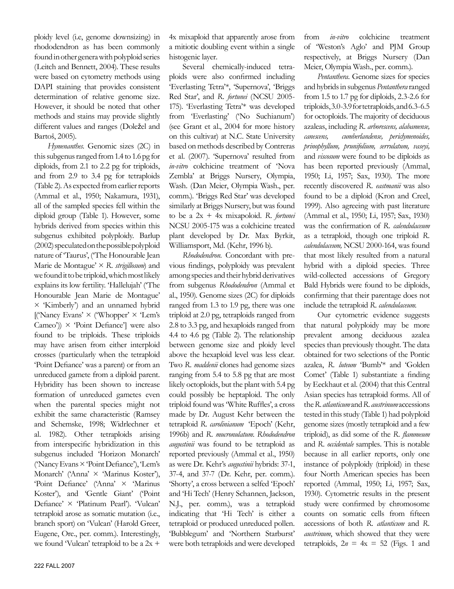ploidy level (i.e, genome downsizing) in rhododendron as has been commonly found in other genera with polyploid series (Leitch and Bennett, 2004). These results were based on cytometry methods using DAPI staining that provides consistent determination of relative genome size. However, it should be noted that other methods and stains may provide slightly different values and ranges (Doležel and Bartoš, 2005).

*Hymenanthes.* Genomic sizes (2C) in this subgenus ranged from 1.4 to 1.6 pg for diploids, from 2.1 to 2.2 pg for triploids, and from 2.9 to 3.4 pg for tetraploids (Table 2). As expected from earlier reports (Ammal et al., 1950; Nakamura, 1931), all of the sampled species fell within the diploid group (Table 1). However, some hybrids derived from species within this subgenus exhibited polyploidy. Barlup (2002) speculated on the possible polyploid nature of 'Taurus', ('The Honourable Jean Marie de Montague' × *R. strigillosum*) and we found it to be triploid, which most likely explains its low fertility. 'Hallelujah' ('The Honourable Jean Marie de Montague' × 'Kimberly') and an unnamed hybrid  $[(\text{Nancy Evans'} \times (\text{Whopper'} \times \text{Tem's})$ Cameo'))  $\times$  'Point Defiance'] were also found to be triploids. These triploids may have arisen from either interploid crosses (particularly when the tetraploid 'Point Defiance' was a parent) or from an unreduced gamete from a diploid parent. Hybridity has been shown to increase formation of unreduced gametes even when the parental species might not exhibit the same characteristic (Ramsey and Schemske, 1998; Widrlechner et al. 1982). Other tetraploids arising from interspecific hybridization in this subgenus included 'Horizon Monarch' ('Nancy Evans × 'Point Defiance'), 'Lem's Monarch' ('Anna' × 'Marinus Koster'), 'Point Defiance' ('Anna' × 'Marinus Koster'), and 'Gentle Giant' ('Point Defiance' × 'Platinum Pearl'). 'Vulcan' tetraploid arose as somatic mutation (i.e., branch sport) on 'Vulcan' (Harold Greer, Eugene, Ore., per. comm.). Interestingly, we found 'Vulcan' tetraploid to be a 2x +

4x mixaploid that apparently arose from a mitiotic doubling event within a single histogenic layer.

Several chemically-induced tetraploids were also confirmed including 'Everlasting Tetra'\*, 'Supernova', 'Briggs Red Star', and *R. fortunei* (NCSU 2005- 175). 'Everlasting Tetra'\* was developed from 'Everlasting' ('No Suchianum') (see Grant et al., 2004 for more history on this cultivar) at N.C. State University based on methods described by Contreras et al. (2007). 'Supernova' resulted from *in-vitro* colchicine treatment of 'Nova Zembla' at Briggs Nursery, Olympia, Wash. (Dan Meier, Olympia Wash., per. comm.). 'Briggs Red Star' was developed similarly at Briggs Nursery, but was found to be a 2x + 4x mixapoloid. *R*. *fortunei* NCSU 2005-175 was a colchicine treated plant developed by Dr. Max Byrkit, Williamsport, Md. (Kehr, 1996 b).

*Rhododendron.* Concordant with previous findings, polyploidy was prevalent among species and their hybrid derivatives from subgenus *Rhododendron* (Ammal et al., 1950). Genome sizes (2C) for diploids ranged from 1.3 to 1.9 pg, there was one triploid at 2.0 pg, tetraploids ranged from 2.8 to 3.3 pg, and hexaploids ranged from 4.4 to 4.6 pg (Table 2). The relationship between genome size and ploidy level above the hexaploid level was less clear. Two *R. maddenii* clones had genome sizes ranging from 5.4 to 5.8 pg that are most likely octoploids, but the plant with 5.4 pg could possibly be heptaploid. The only triploid found was 'White Ruffles', a cross made by Dr. August Kehr between the tetraploid *R. carolinianum* 'Epoch' (Kehr, 1996b) and *R*. *mucronulatum*. *Rhododendron augustinii* was found to be tetraploid as reported previously (Ammal et al., 1950) as were Dr. Kehr's *augustinii* hybrids: 37-1, 37-4, and 37-7 (Dr. Kehr, per. comm.). 'Shorty', a cross between a selfed 'Epoch' and 'Hi Tech' (Henry Schannen, Jackson, N.J., per. comm.), was a tetraploid indicating that 'Hi Tech' is either a tetraploid or produced unreduced pollen. 'Bubblegum' and 'Northern Starburst' were both tetraploids and were developed

from *in-vitro* colchicine treatment of 'Weston's Aglo' and PJM Group respectively, at Briggs Nursery (Dan Meier, Olympia Wash., per. comm.).

*Pentanthera.* Genome sizes for species and hybrids in subgenus *Pentanthera* ranged from 1.5 to 1.7 pg for diploids, 2.3-2.6 for triploids, 3.0-3.9 for tetraploids, and 6.3-6.5 for octoploids. The majority of deciduous azaleas, including *R. arborescens, alabamense, canescens, cumberlandense, periclymenoides, prinophyllum, prunifolium, serrulatum, vaseyi,* and *viscosum* were found to be diploids as has been reported previously (Ammal, 1950; Li, 1957; Sax, 1930). The more recently discovered *R. eastmanii* was also found to be a diploid (Kron and Creel, 1999). Also agreeing with past literature (Ammal et al., 1950; Li, 1957; Sax, 1930) was the confirmation of *R. calendulaceum* as a tetraploid, though one triploid *R. calendulaceum,* NCSU 2000-164, was found that most likely resulted from a natural hybrid with a diploid species. Three wild-collected accessions of Gregory Bald Hybrids were found to be diploids, confirming that their parentage does not include the tetraploid *R. calendulaceum.*

Our cytometric evidence suggests that natural polyploidy may be more prevalent among deciduous azalea species than previously thought. The data obtained for two selections of the Pontic azalea, *R. luteum* 'Bumb'\* and 'Golden Comet' (Table 1) substantiate a finding by Eeckhaut et al. (2004) that this Central Asian species has tetraploid forms. All of the *R. atlanticum* and *R. austrinum* accessions tested in this study (Table 1) had polyploid genome sizes (mostly tetraploid and a few triploid), as did some of the *R. flammeum* and *R. occidentale* samples. This is notable because in all earlier reports, only one instance of polyploidy (triploid) in these four North American species has been reported (Ammal, 1950; Li, 1957; Sax, 1930). Cytometric results in the present study were confirmed by chromosome counts on somatic cells from fifteen accessions of both *R. atlanticum* and *R. austrinum*, which showed that they were tetraploids,  $2n = 4x = 52$  (Figs. 1 and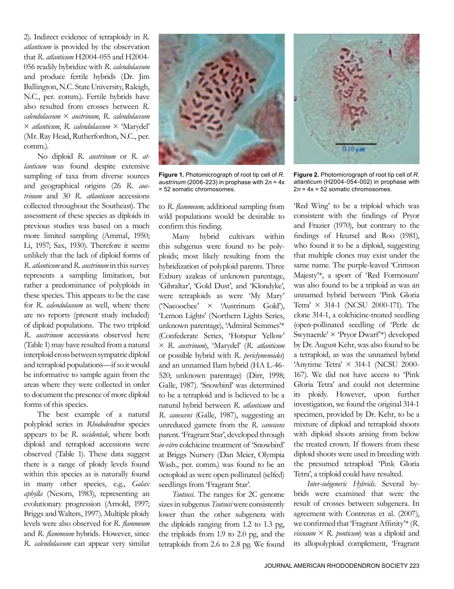2). Indirect evidence of tetraploidy in *R. atlanticum* is provided by the observation that *R. atlanticum* H2004-055 and H2004- 056 readily hybridize with *R. calendulaceum* and produce fertile hybrids (Dr. Jim Ballington, N.C. State University, Raleigh, N.C., per. comm.). Fertile hybrids have also resulted from crosses between *R. calendulaceum* × *austrinum*, *R. calendulaceum* × *atlanticum*, *R. calendulaceum* × 'Marydel' (Mr. Ray Head, Rutherfordton, N.C., per. comm.).

No diploid *R. austrinum* or *R. atlanticum* was found despite extensive sampling of taxa from diverse sources and geographical origins (26 *R. austrinum* and 30 *R. atlanticum* accessions collected throughout the Southeast). The assessment of these species as diploids in previous studies was based on a much more limited sampling (Ammal, 1950; Li, 1957; Sax, 1930). Therefore it seems unlikely that the lack of diploid forms of *R. atlanticum* and *R. austrinum* in this survey represents a sampling limitation, but rather a predominance of polyploids in these species. This appears to be the case for *R. calendulaceum* as well, where there are no reports (present study included) of diploid populations. The two triploid *R. austrinum* accessions observed here (Table 1) may have resulted from a natural interploid cross between sympatric diploid and tetraploid populations—if so it would be informative to sample again from the areas where they were collected in order to document the presence of more diploid forms of this species.

The best example of a natural polyploid series in *Rhododendron* species appears to be *R. occidentale*, where both diploid and tetraploid accessions were observed (Table 1). These data suggest there is a range of ploidy levels found within this species as is naturally found in many other species, e.g., *Galax aphylla* (Nesom, 1983), representing an evolutionary progression (Arnold, 1997; Briggs and Walters, 1997). Multiple ploidy levels were also observed for *R. flammeum*  and *R. flammeum* hybrids. However, since *R. calendulaceum* can appear very similar



**Figure 1.** Photomicrograph of root tip cell of *R. austrinum* (2006-223) in prophase with 2*n* = 4x = 52 somatic chromosomes.

to *R. flammeum,* additional sampling from wild populations would be desirable to confirm this finding.

Many hybrid cultivars within this subgenus were found to be polyploids; most likely resulting from the hybridization of polyploid parents. Three Exbury azaleas of unknown parentage, 'Gibraltar', 'Gold Dust', and 'Klondyke', were tetraploids as were 'My Mary' ('Nacoochee' × 'Austrinum Gold'), 'Lemon Lights' (Northern Lights Series, unknown parentage), 'Admiral Semmes'\* (Confederate Series, 'Hotspur Yellow' × *R. austrinum*), 'Marydel' (*R. atlanticum* or possible hybrid with *R. periclymenoides*) and an unnamed Ilam hybrid (HA L-46- 520; unknown parentage) (Dirr, 1998; Galle, 1987). 'Snowbird' was determined to be a tetraploid and is believed to be a natural hybrid between *R. atlanticum* and *R. canescens* (Galle, 1987), suggesting an unreduced gamete from the *R. canescens* parent. 'Fragrant Star', developed through *in-vitro* colchicine treatment of 'Snowbird' at Briggs Nursery (Dan Meier, Olympia Wash., per. comm.) was found to be an octoploid as were open pollinated (selfed) seedlings from 'Fragrant Star'.

*Tsutsusi.* The ranges for 2C genome sizes in subgenus *Tsutsusi* were consistently lower than the other subgenera with the diploids ranging from 1.2 to 1.3 pg, the triploids from 1.9 to 2.0 pg, and the tetraploids from 2.6 to 2.8 pg. We found



**Figure 2.** Photomicrograph of root tip cell of *R. atlanticum* (H2004-054-002) in prophase with 2*n* = 4x = 52 somatic chromosomes.

'Red Wing' to be a triploid which was consistent with the findings of Pryor and Frazier (1970), but contrary to the findings of Heursel and Roo (1981), who found it to be a diploid, suggesting that multiple clones may exist under the same name. The purple-leaved 'Crimson Majesty'\*, a sport of 'Red Formosum' was also found to be a triploid as was an unnamed hybrid between 'Pink Gloria Tetra' × 314-1 (NCSU 2000-171). The clone 314-1, a colchicine-treated seedling (open-pollinated seedling of 'Perle de Swynaerde' × 'Pryor Dwarf'\*) developed by Dr. August Kehr, was also found to be a tetraploid, as was the unnamed hybrid 'Anytime Tetra'  $\times$  314-1 (NCSU 2000-167). We did not have access to 'Pink Gloria Tetra' and could not determine its ploidy. However, upon further investigation, we found the original 314-1 specimen, provided by Dr. Kehr, to be a mixture of diploid and tetraploid shoots with diploid shoots arising from below the treated crown. If flowers from these diploid shoots were used in breeding with the presumed tetraploid 'Pink Gloria Tetra', a triploid could have resulted.

*Inter-subgeneric Hybrids.* Several hybrids were examined that were the result of crosses between subgenera. In agreement with Contreras et al. (2007), we confirmed that 'Fragrant Affinity'\* (*R. viscosum*  $\times$  *R. ponticum*) was a diploid and its allopolyploid complement, 'Fragrant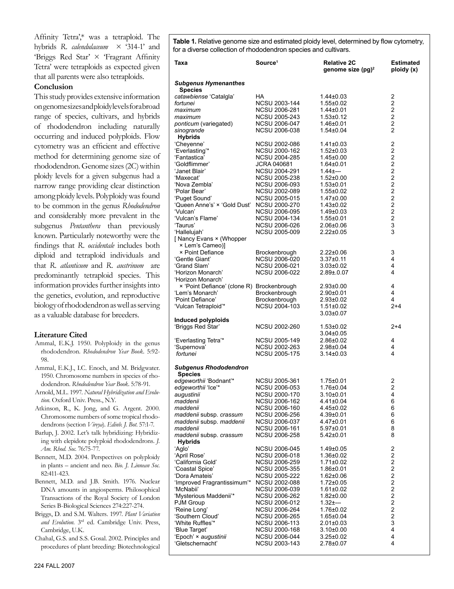Affinity Tetra',\* was a tetraploid. The hybrids *R. calendulaceum* × '314-1' and 'Briggs Red Star' × 'Fragrant Affinity Tetra' were tetraploids as expected given that all parents were also tetraploids.

## **Conclusion**

This study provides extensive information on genome sizes and ploidy levels for a broad range of species, cultivars, and hybrids of rhododendron including naturally occurring and induced polyploids. Flow cytometry was an efficient and effective method for determining genome size of rhododendron. Genome sizes (2C) within ploidy levels for a given subgenus had a narrow range providing clear distinction among ploidy levels. Polyploidy was found to be common in the genus *Rhododendron*  and considerably more prevalent in the subgenus *Pentanthera* than previously known. Particularly noteworthy were the findings that *R*. *occidentale* includes both diploid and tetraploid individuals and that *R. atlanticum* and *R. austrinum* are predominantly tetraploid species. This information provides further insights into the genetics, evolution, and reproductive biology of rhododendron as well as serving as a valuable database for breeders.

## **Literature Cited**

- Ammal, E.K.J. 1950. Polyploidy in the genus rhododendron. *Rhododendron Year Book*. 5:92- 98.
- Ammal, E.K.J., I.C. Enoch, and M. Bridgwater. 1950. Chromosome numbers in species of rhododendron. *Rhododendron Year Book*. 5:78-91.
- Arnold, M.L. 1997. *Natural Hybridization and Evolution*. Oxford Univ. Press., N.Y.
- Atkinson, R., K. Jong, and G. Argent. 2000. Chromosome numbers of some tropical rhododendrons (section *Vireya*). *Edinb. J. Bot*. 57:1-7.
- Barlup, J. 2002. Let's talk hybridizing: Hybridizing with elepidote polyploid rhododendrons. *J. Am. Rhod. Soc*. 76:75-77.
- Bennett, M.D. 2004. Perspectives on polyploidy in plants – ancient and neo. *Bio. J. Linnean Soc.* 82:411-423.
- Bennett, M.D. and J.B. Smith. 1976. Nuclear DNA amounts in angiosperms. Philosophical Transactions of the Royal Society of London Series B-Biological Sciences 274:227-274.
- Briggs, D. and S.M. Walters. 1997. *Plant Variation and Evolution*. 3rd ed. Cambridge Univ. Press, Cambridge, U.K.

Chahal, G.S. and S.S. Gosal. 2002. Principles and procedures of plant breeding: Biotechnological **Table 1.** Relative genome size and estimated ploidy level, determined by flow cytometry, for a diverse collection of rhododendron species and cultivars.

| Taxa                                          | Source <sup>1</sup>                   | <b>Relative 2C</b><br>genome size $(pg)^2$ | <b>Estimated</b><br>ploidy (x)               |
|-----------------------------------------------|---------------------------------------|--------------------------------------------|----------------------------------------------|
| <b>Subgenus Hymenanthes</b>                   |                                       |                                            |                                              |
| <b>Species</b><br>catawbiense 'Catalgla'      | ΗA                                    | 1.44±0.03                                  | $\overline{\mathbf{c}}$                      |
| fortunei                                      | NCSU 2003-144                         | 1.55±0.02                                  | $\overline{\mathbf{c}}$                      |
| maximum                                       | NCSU 2006-281                         | 1.44±0.01                                  | $\overline{\mathbf{c}}$                      |
| maximum                                       | NCSU 2005-243                         | $1.53 \pm 0.12$                            | $\overline{\mathbf{c}}$                      |
| ponticum (variegated)                         | NCSU 2006-047                         | 1.46±0.01                                  | $\overline{\mathbf{c}}$                      |
| sinogrande                                    | NCSU 2006-038                         | 1.54±0.04                                  | $\overline{c}$                               |
| <b>Hybrids</b>                                |                                       |                                            |                                              |
| 'Cheyenne'                                    | <b>NCSU 2002-086</b>                  | 1.41±0.03                                  | $\overline{\mathbf{c}}$                      |
| 'Everlasting'*                                | NCSU 2000-162                         | $1.52 \pm 0.03$                            | $\overline{\mathbf{c}}$                      |
| 'Fantastica'                                  | NCSU 2004-285                         | 1.45±0.00                                  | $\frac{2}{2}$                                |
| 'Goldflimmer'                                 | <b>JCRA 040681</b>                    | 1.64±0.01                                  |                                              |
| 'Janet Blair'                                 | NCSU 2004-291                         | 1.44±---                                   | 2222222                                      |
| 'Maxecat'                                     | NCSU 2005-238                         | $1.52 \pm 0.00$                            |                                              |
| 'Nova Zembla'                                 | NCSU 2006-093<br>NCSU 2002-089        | $1.53 \pm 0.01$                            |                                              |
| 'Polar Bear'<br>'Puget Sound'                 | <b>NCSU 2005-015</b>                  | 1.55±0.02<br>$1.47 \pm 0.00$               |                                              |
| 'Queen Anne's' × 'Gold Dust'                  | NCSU 2000-270                         | $1.43 \pm 0.02$                            |                                              |
| 'Vulcan'                                      | NCSU 2006-095                         | $1.49 \pm 0.03$                            |                                              |
| 'Vulcan's Flame'                              | <b>NCSU 2004-134</b>                  | $1.55 \pm 0.01$                            |                                              |
| 'Taurus'                                      | NCSU 2006-026                         | $2.06 \pm 0.06$                            | 3                                            |
| 'Hallelujah'                                  | <b>NCSU 2005-009</b>                  | $2.22 \pm 0.05$                            | 3                                            |
| [ Nancy Evans × (Whopper<br>× Lem's Cameo)]   |                                       |                                            |                                              |
| <b>× Point Defiance</b>                       | Brockenbrough                         | $2.22 \pm 0.06$                            | 3                                            |
| 'Gentle Giant'                                | NCSU 2006-020                         | $3.37 \pm 0.11$                            | 4                                            |
| 'Grand Slam'                                  | NCSU 2006-021                         | $3.03 \pm 0.02$                            | 4                                            |
| 'Horizon Monarch'                             | NCSU 2006-022                         | $2.89 \pm 0.07$                            | 4                                            |
| 'Horizon Monarch'                             |                                       |                                            |                                              |
| × 'Point Defiance' (clone R) Brockenbrough    |                                       | $2.93 \pm 0.00$                            | 4                                            |
| 'Lem's Monarch'                               | Brockenbrough                         | $2.90\pm0.01$                              | 4                                            |
| 'Point Defiance'                              | Brockenbrough                         | $2.93 \pm 0.02$                            | 4                                            |
| 'Vulcan Tetraploid'*                          | NCSU 2004-103                         | $1.51 \pm 0.02$                            | $2+4$                                        |
| Induced polyploids                            |                                       | $3.03 \pm 0.07$                            |                                              |
| 'Briggs Red Star'                             | NCSU 2002-260                         | $1.53 \pm 0.02$                            | $2+4$                                        |
|                                               |                                       | 3.04±0.05                                  |                                              |
| 'Everlasting Tetra'*                          | NCSU 2005-149                         | 2.86±0.02                                  | 4                                            |
| 'Supernova'                                   | NCSU 2002-263                         | 2.98±0.04                                  | 4                                            |
| fortunei                                      | NCSU 2005-175                         | $3.14 \pm 0.03$                            | 4                                            |
| <b>Subgenus Rhododendron</b>                  |                                       |                                            |                                              |
| <b>Species</b>                                |                                       |                                            |                                              |
| edgeworthii 'Bodnant'*                        | NCSU 2005-361                         | 1.75±0.01                                  | 2                                            |
| edgeworthii 'Ice'*                            | <b>NCSU 2006-053</b>                  | $1.76 \pm 0.04$                            | $\overline{\mathbf{c}}$                      |
| augustinii                                    | NCSU 2000-170                         | 3.10±0.01                                  | 4                                            |
| maddenii                                      | NCSU 2006-162                         | 4.41±0.04                                  | 6                                            |
| maddenii                                      | NCSU 2006-160                         | 4.45±0.02                                  | 6                                            |
| maddenii subsp. crassum                       | NCSU 2006-256                         | $4.39 \pm 0.01$                            | 6                                            |
| maddenii subsp. maddenii                      | NCSU 2006-037                         | 4.47±0.01                                  | 6<br>8                                       |
| maddenii<br>maddenii subsp. crassum           | NCSU 2006-161<br>NCSU 2006-258        | $5.97 \pm 0.01$<br>5.42±0.01               | 8                                            |
| <b>Hybrids</b>                                |                                       |                                            |                                              |
| 'Aglo'                                        | <b>NCSU 2006-045</b>                  | 1.49±0.05                                  | 2                                            |
| 'April Rose'                                  | NCSU 2006-018                         | 1.36±0.02                                  | $\overline{\mathbf{c}}$                      |
| 'California Gold'                             | NCSU 2006-259                         | $1.71 \pm 0.02$                            | $\overline{\mathbf{c}}$                      |
| 'Coastal Spice'                               | NCSU 2005-355<br><b>NCSU 2005-222</b> | 1.86±0.01                                  | $\overline{\mathbf{c}}$                      |
| 'Dora Amateis'<br>'Improved Fragrantissimum'* | NCSU 2002-088                         | 1.62±0.06<br>$1.72 \pm 0.05$               | $\overline{\mathbf{c}}$                      |
| 'McNabii'                                     | <b>NCSU 2006-039</b>                  | $1.61 \pm 0.02$                            | $\frac{2}{2}$                                |
| 'Mysterious Maddenii'*                        | NCSU 2006-262                         | 1.82±0.00                                  |                                              |
| PJM Group                                     | NCSU 2006-012                         | $1.32 + -$                                 | $\begin{array}{c}\n2 \\ 2 \\ 2\n\end{array}$ |
| 'Reine Long'                                  | <b>NCSU 2006-264</b>                  | 1.76±0.02                                  |                                              |
| 'Southern Cloud'                              | <b>NCSU 2006-265</b>                  | 1.65±0.04                                  |                                              |
| 'White Ruffles'*                              | NCSU 2006-113                         | $2.01 \pm 0.03$                            | 3                                            |
| 'Blue Target'                                 | <b>NCSU 2000-168</b>                  | 3.10±0.00                                  | 4                                            |
| 'Epoch' × augustinii                          | NCSU 2006-044                         | 3.25±0.02                                  | 4                                            |
| 'Gletschernacht'                              | NCSU 2003-143                         | 2.78±0.07                                  | 4                                            |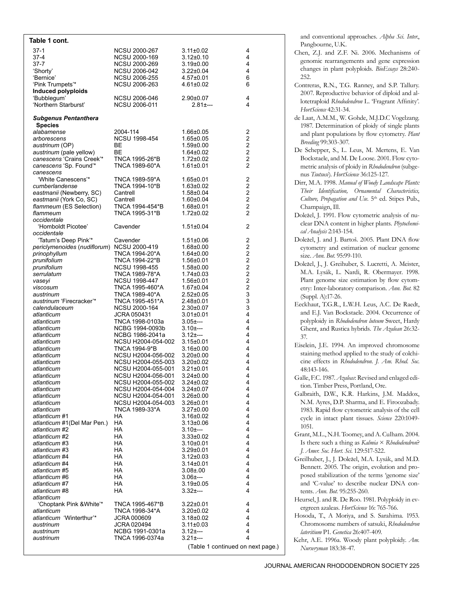| Table 1 cont.                       |                                          |                              |                                           |
|-------------------------------------|------------------------------------------|------------------------------|-------------------------------------------|
| 37-1                                | NCSU 2000-267                            | $3.11 \pm 0.02$              | 4                                         |
| 37-4                                | <b>NCSU 2000-169</b>                     | $3.12{\pm}0.10$              | 4                                         |
| 37-7                                | NCSU 2000-269                            | $3.19 \pm 0.00$              | 4                                         |
| 'Shorty'                            | NCSU 2006-042<br><b>NCSU 2006-255</b>    | $3.22 \pm 0.04$              | 4                                         |
| 'Bernice'<br>'Pink Trumpets'*       | NCSU 2006-263                            | 4.57±0.01<br>$4.61 \pm 0.02$ | 6<br>6                                    |
| Induced polyploids                  |                                          |                              |                                           |
| 'Bubblegum'                         | NCSU 2006-046                            | 2.90±0.07                    | 4                                         |
| 'Northern Starburst'                | NCSU 2006-011                            | $2.81 + -$                   | 4                                         |
| <b>Subgenus Pentanthera</b>         |                                          |                              |                                           |
| <b>Species</b>                      |                                          |                              |                                           |
| alabamense                          | 2004-114                                 | 1.66±0.05                    | 2                                         |
| arborescens                         | NCSU 1998-454                            | $1.65 \pm 0.05$              | $\overline{\mathbf{c}}$                   |
| austrinum (OP)                      | BЕ                                       | $1.59 \pm 0.00$              | $\overline{\mathbf{c}}$                   |
| austrinum (pale yellow)             | BЕ                                       | $1.64 \pm 0.02$              | $\overline{\mathbf{c}}$                   |
| canescens 'Crains Creek'*           | TNCA 1995-26*B                           | $1.72 \pm 0.02$              | $\overline{\mathbf{c}}$<br>$\overline{2}$ |
| canescens 'Sp. Found'*<br>canescens | TNCA 1989-60*A                           | $1.61 \pm 0.01$              |                                           |
| 'White Canescens'*                  | TNCA 1989-59*A                           | $1.65 \pm 0.01$              | 2                                         |
| cumberlandense                      | TNCA 1994-10*B                           | $1.63 \pm 0.02$              | $\overline{\mathbf{c}}$                   |
| eastmanii (Newberry, SC)            | Cantrell                                 | $1.58 \pm 0.04$              | $\overline{\mathbf{c}}$                   |
| eastmanii (York Co, SC)             | Cantrell                                 | $1.60 \pm 0.04$              | $\overline{c}$                            |
| flammeum (ES Selection)             | TNCA 1994-454*B                          | $1.68 + 0.01$                | $\overline{\mathbf{c}}$                   |
| flammeum                            | TNCA 1995-31*B                           | $1.72 \pm 0.02$              | 2                                         |
| occidentale<br>'Homboldt Picotee'   | Cavender                                 |                              | 2                                         |
| occidentale                         |                                          | $1.51 \pm 0.04$              |                                           |
| 'Tatum's Deep Pink'*                | Cavender                                 | $1.51 \pm 0.06$              | 2                                         |
| periclymenoides (nudiflorum)        | NCSU 2000-419                            | $1.68 + 0.00$                | $\overline{\mathbf{c}}$                   |
| prinophyllum                        | TNCA 1994-20*A                           | $1.64 \pm 0.00$              | $\overline{c}$                            |
| prunifolium                         | TNCA 1994-22*B                           | 1.56±0.01                    | $\overline{\mathbf{c}}$                   |
| prunifolium                         | NCSU 1998-455                            | $1.58 + 0.00$                | $\overline{c}$                            |
| serrulatum                          | TNCA 1989-78*A                           | $1.74 \pm 0.03$              | $\overline{a}$<br>$\overline{c}$          |
| vaseyi<br>viscosum                  | NCSU 1998-447<br>TNCA 1995-460*A         | 1.56±0.01<br>$1.67 \pm 0.04$ | $\overline{c}$                            |
| austrinum                           | TNCA 1989-40*A                           | 2.52±0.05                    | 3                                         |
| austrinum 'Firecracker'*            | TNCA 1995-451*A                          | 2.48±0.01                    | 3                                         |
| calendulaceum                       | NCSU 2000-164                            | 2.30±0.07                    | 3                                         |
| atlanticum                          | JCRA 050431                              | $3.01 \pm 0.01$              | 4                                         |
| atlanticum                          | TNCA 1998-0103a                          | $3.05 + -$                   | 4                                         |
| atlanticum                          | NCBG 1994-0093b<br>NCBG 1986-2041a       | $3.10+--$<br>$3.12 + -$      | 4<br>4                                    |
| atlanticum<br>atlanticum            | NCSU H2004-054-002                       | $3.15 \pm 0.01$              | 4                                         |
| atlanticum                          | TNCA 1994-9*B                            | 3.16±0.00                    | 4                                         |
| atlanticum                          | NCSU H2004-056-002                       | $3.20 \pm 0.00$              | 4                                         |
| atlanticum                          | NCSU H2004-055-003                       | $3.20 \pm 0.02$              | 4                                         |
| atlanticum                          | NCSU H2004-055-001                       | $3.21 \pm 0.01$              | 4                                         |
| atlanticum                          | NCSU H2004-056-001                       | $3.24 \pm 0.00$              | 4                                         |
| atlanticum<br>atlanticum            | NCSU H2004-055-002<br>NCSU H2004-054-004 | 3.24±0.02<br>3.24±0.07       | 4<br>4                                    |
| atlanticum                          | NCSU H2004-054-001                       | 3.26±0.00                    | 4                                         |
| atlanticum                          | NCSU H2004-054-003                       | 3.26±0.01                    | 4                                         |
| atlanticum                          | TNCA 1989-33*A                           | $3.27 \pm 0.00$              | 4                                         |
| atlanticum #1                       | ΗA                                       | $3.16 \pm 0.02$              | 4                                         |
| atlanticum #1(Del Mar Pen.)         | HA                                       | $3.13 \pm 0.06$              | 4                                         |
| atlanticum #2<br>atlanticum #2      | HA<br>HA                                 | $3.10+--$<br>$3.33 \pm 0.02$ | 4<br>4                                    |
| atlanticum #3                       | НA                                       | 3.10±0.01                    | 4                                         |
| atlanticum #3                       | HA                                       | 3.29±0.01                    | 4                                         |
| atlanticum #4                       | HA                                       | $3.12 \pm 0.03$              | 4                                         |
| atlanticum #4                       | HA                                       | $3.14 \pm 0.01$              | 4                                         |
| atlanticum #5                       | HA                                       | $3.08 + 0.00$                | 4                                         |
| atlanticum #6                       | HA                                       | $3.06 + -$                   | 4                                         |
| atlanticum #7                       | HA                                       | $3.19 \pm 0.05$              | 4<br>4                                    |
| atlanticum #8<br>atlanticum         | НA                                       | $3.32 + -$                   |                                           |
| 'Choptank Pink & White'*            | TNCA 1995-467*B                          | 3.22±0.01                    | 4                                         |
| atlanticum                          | TNCA 1998-34*A                           | $3.20 \pm 0.02$              | 4                                         |
| atlanticum 'Winterthur'*            | JCRA 000609                              | 3.18±0.02                    | 4                                         |
| austrinum                           | JCRA 020494                              | $3.11 \pm 0.03$              | 4                                         |
| austrinum                           | NCBG 1991-0301a                          | $3.12 + -$                   | 4                                         |
| austrinum                           | TNCA 1996-0374a                          | $3.21 + -$                   | 4                                         |
|                                     |                                          |                              | (Table 1 continued on next page.)         |

and conventional approaches. Alpha Sci. Inter., Pangbourne, U.K.

- Chen, Z.J. and Z.F. Ni. 2006. Mechanisms of genomic rearrangements and gene expression changes in plant polyploids. *BioEssays* 28:240- 252.
- Contreras, R.N., T.G. Ranney, and S.P. Tallury. 2007. Reproductive behavior of diploid and allotetraploid *Rhododendron* L. 'Fragrant Affinity'. *HortScience* 42:31-34.
- de Laat, A.M.M., W. Gohde, M.J.D.C Vogelzang. 1987. Determination of ploidy of single plants and plant populations by flow cytometry. *Plant Breeding* 99:303-307.
- De Schepper, S., L. Leus, M. Mertens, E. Van Bockstaele, and M. De Loose. 2001. Flow cytometric analysis of ploidy in *Rhododendron* (subgenus *Tsutsusi*). *HortScience* 36:125-127.
- Dirr, M.A. 1998. *Manual of Woody Landscape Plants: Their Identification, Ornamental Characteristics,*  Culture, Propagation and Use. 5<sup>th</sup> ed. Stipes Pub., Champaign, Ill.
- Doležel, J. 1991. Flow cytometric analysis of nuclear DNA content in higher plants. *Phytochemical Analysis* 2:143-154.
- Doležel, J. and J. Bartoš. 2005. Plant DNA flow cytometry and estimation of nuclear genome size. *Ann. Bot.* 95:99-110.
- Doležel, J., J. Greihuber, S. Lucretti, A. Meister, M.A. Lysák, L. Nardi, R. Obermayer. 1998. Plant genome size estimation by flow cytometry: Inter-laboratory comparison. *Ann. Bot*. 82 (Suppl. A):17-26.
- Eeckhaut, T.G.R., L.W.H. Leus, A.C. De Raedt, and E.J. Van Bockstaele. 2004. Occurrence of polyploidy in *Rhododendron luteum* Sweet, Hardy Ghent, and Rustica hybrids. *The Azalean* 26:32- 37.
- Eiselein, J.E. 1994. An improved chromosome staining method applied to the study of colchicine effects in *Rhododendron*. *J. Am. Rhod. Soc*. 48:143-146.
- Galle, F.C. 1987. *Azaleas*: Revised and enlaged edition. Timber Press, Portland, Ore.
- Galbraith, D.W., K.R. Harkins, J.M. Maddox, N.M. Ayres, D.P. Sharma, and E. Firoozabady. 1983. Rapid flow cytometric analysis of the cell cycle in intact plant tissues. *Science* 220:1049- 1051.
- Grant, M.L., N.H. Toomey, and A. Culham. 2004. Is there such a thing as *Kalmia* × *Rhododendron*? *J. Amer. Soc. Hort. Sci*. 129:517-522.
- Greilhuber, J., J. Doležel, M.A. Lysák, and M.D. Bennett. 2005. The origin, evolution and proposed stabilization of the terms 'genome size' and 'C-value' to describe nuclear DNA contents. *Ann. Bot.* 95:255-260.
- Heursel, J. and R. De Roo. 1981. Polyploidy in evergreen azaleas. *HortScience* 16: 765-766.
- Hosoda, T., A Moriya, and S. Sarahima. 1953. Chromosome numbers of satsuki, *Rhododendron lateritium* P1. *Genetica* 26:407-409.
- Kehr, A.E. 1996a. Woody plant polyploidy. *Am. Nurseryman* 183:38-47.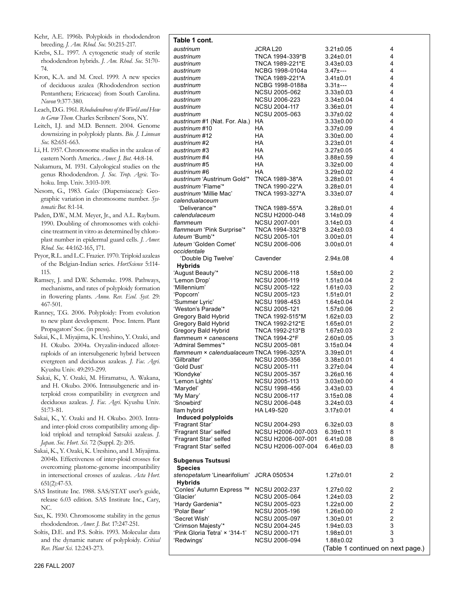| Kehr, A.E. 1996b. Polyploids in rhododendron   |
|------------------------------------------------|
| breeding. <i>J. Am. Rhod. Soc.</i> 50:215-217. |

Krebs, S.L. 1997. A cytogenetic study of sterile rhododendron hybrids. *J. Am. Rhod. Soc*. 51:70- 74.

- Kron, K.A. and M. Creel. 1999. A new species of deciduous azalea (Rhododendron section Pentanthera; Ericaceae) from South Carolina. *Novon* 9:377-380.
- Leach, D.G. 1961. *Rhododendrons of the World and How to Grow Them*. Charles Scribners' Sons, NY.
- Leitch, I.J. and M.D. Bennett. 2004. Genome downsizing in polyploidy plants. *Bio. J. Linnean Soc.* 82:651-663.
- Li, H. 1957. Chromosome studies in the azaleas of eastern North America. *Amer. J. Bot.* 44:8-14.
- Nakamura, M. 1931. Calyological studies on the genus Rhododendron. *J. Soc. Trop. Agric.* Tohoku. Imp. Univ. 3:103-109.
- Nesom, G., 1983. *Galax* (Diapensiaceae): Geographic variation in chromosome number. *Systematic Bot*. 8:1-14.
- Paden, D.W., M.M. Meyer, Jr., and A.L. Raybum. 1990. Doubling of chromosomes with colchicine treatment in vitro as determined by chloroplast number in epidermal guard cells*. J. Amer. Rhod. Soc*. 44:162-165, 171.
- Pryor, R.L. and L.C. Frazier. 1970. Triploid azaleas of the Belgian-Indian series. *HortScience* 5:114- 115.
- Ramsey, J. and D.W. Schemske. 1998. Pathways, mechanisms, and rates of polyploidy formation in flowering plants. *Annu. Rev. Ecol. Syst.* 29: 467-501.
- Ranney, T.G. 2006. Polyploidy: From evolution to new plant development. Proc. Intern. Plant Propagators' Soc. (in press).
- Sakai, K., I. Miyajima, K. Ureshino, Y. Ozaki, and H. Okubo. 2004a. Oryzalin-induced allotetraploids of an intersubgeneric hybrid between evergreen and deciduous azaleas. *J. Fac. Agri*. Kyushu Univ. 49:293-299.
- Sakai, K, Y. Ozaki, M. Hiramatsu, A. Wakana, and H. Okubo. 2006. Intrasubgeneric and interploid cross compatibility in evergreen and deciduous azaleas. *J. Fac. Agri.* Kyushu Univ. 51:73-81.
- Sakai, K., Y. Ozaki and H. Okubo. 2003. Intraand inter-ploid cross compatibility among diploid triploid and tetraploid Satsuki azaleas. *J. Japan. Soc. Hort. Sci.* 72 (Suppl. 2): 205.
- Sakai, K., Y. Ozaki, K. Ureshino, and I. Miyajima. 2004b. Effectiveness of inter-ploid crosses for overcoming plastome-genome incompatibility in intersectional crosses of azaleas. *Acta Hort*. 651(2):47-53.
- SAS Institute Inc. 1988. SAS/STAT user's guide, release 6.03 edition. SAS Institute Inc., Cary, NC.
- Sax, K. 1930. Chromosome stability in the genus rhododendron. *Amer. J. Bot.* 17:247-251.
- Soltis, D.E. and P.S. Soltis. 1993. Molecular data and the dynamic nature of polyploidy. *Critical Rev. Plant Sci.* 12:243-273.

| Table 1 cont.                                     |                       |                                    |                         |
|---------------------------------------------------|-----------------------|------------------------------------|-------------------------|
| austrinum                                         | JCRA L <sub>20</sub>  | $3.21 \pm 0.05$                    | 4                       |
| austrinum                                         | TNCA 1994-339*B       | $3.24 \pm 0.01$                    | 4                       |
| austrinum                                         | TNCA 1989-221*E       | $3.43 \pm 0.03$                    | 4                       |
| austrinum                                         | NCBG 1998-0104a       | $3.47 \pm - -$                     | 4                       |
| austrinum                                         | TNCA 1989-221*A       | $3.41 \pm 0.01$                    | 4                       |
| austrinum                                         | NCBG 1998-0188a       | $3.31 + - -$                       | $\overline{4}$          |
| austrinum                                         | <b>NCSU 2005-062</b>  | $3.33 \pm 0.03$                    | 4                       |
| austrinum                                         | <b>NCSU 2006-223</b>  | 3.34±0.04                          | $\overline{4}$          |
| austrinum                                         | <b>NCSU 2004-117</b>  | $3.36 \pm 0.01$                    | $\overline{4}$          |
| austrinum                                         | NCSU 2005-063         | 3.37±0.02                          | $\overline{4}$          |
| austrinum #1 (Nat. For. Ala.) HA<br>austrinum #10 | <b>HA</b>             | $3.33 \pm 0.00$<br>$3.37 \pm 0.09$ | 4<br>4                  |
| austrinum #12                                     | HA.                   | $3.30{\pm}0.00$                    | $\overline{4}$          |
| austrinum #2                                      | <b>HA</b>             | $3.23 \pm 0.01$                    | $\overline{4}$          |
| austrinum #3                                      | HA                    | $3.27 \pm 0.05$                    | $\overline{4}$          |
| austrinum #4                                      | HA.                   | $3.88 \pm 0.59$                    | 4                       |
| austrinum #5                                      | HA                    | $3.32 \pm 0.00$                    | 4                       |
| austrinum #6                                      | HA                    | $3.29 \pm 0.02$                    | $\overline{4}$          |
| austrinum 'Austrinum Gold'* TNCA 1989-38*A        |                       | $3.28 \pm 0.01$                    | 4                       |
| austrinum 'Flame'*                                | TNCA 1990-22*A        | 3.28±0.01                          | 4                       |
| austrinum 'Millie Mac'                            | TNCA 1993-327*A       | $3.33 \pm 0.07$                    | 4                       |
| calendualaceum                                    |                       |                                    |                         |
| 'Deliverance'*                                    | TNCA 1989-55*A        | $3.28 \pm 0.01$                    | 4                       |
| calendulaceum                                     | <b>NCSU H2000-048</b> | $3.14 \pm 0.09$                    | 4                       |
| flammeum                                          | <b>NCSU 2007-001</b>  | $3.14 \pm 0.03$                    | 4                       |
| flammeum 'Pink Surprise'*                         | TNCA 1994-332*B       | $3.24 \pm 0.03$                    | $\overline{4}$          |
| luteum 'Bumb'*                                    | NCSU 2005-101         | $3.00 \pm 0.01$                    | 4                       |
| luteum 'Golden Comet'                             | NCSU 2006-006         | $3.00 \pm 0.01$                    | $\overline{\mathbf{4}}$ |
| occidentale                                       |                       |                                    | 4                       |
| 'Double Dig Twelve'<br><b>Hybrids</b>             | Cavender              | $2.94 \pm 08$                      |                         |
| 'August Beauty'*                                  | NCSU 2006-118         | $1.58{\pm}0.00$                    | 2                       |
| 'Lemon Drop'                                      | NCSU 2006-119         | $1.51 \pm 0.04$                    | $\overline{c}$          |
| 'Millennium'                                      | <b>NCSU 2005-122</b>  | $1.61 \pm 0.03$                    | $\overline{c}$          |
| 'Popcorn'                                         | NCSU 2005-123         | $1.51 \pm 0.01$                    | $\overline{c}$          |
| 'Summer Lyric'                                    | <b>NCSU 1998-453</b>  | $1.64 \pm 0.04$                    | $\overline{c}$          |
| 'Weston's Parade'*                                | NCSU 2005-121         | $1.57 \pm 0.06$                    | $\overline{c}$          |
| Gregory Bald Hybrid                               | TNCA 1992-515*M       | $1.62{\pm}0.03$                    | $\overline{c}$          |
| Gregory Bald Hybrid                               | TNCA 1992-212*E       | 1.65±0.01                          | $\overline{c}$          |
| Gregory Bald Hybrid                               | TNCA 1992-213*B       | $1.67 \pm 0.03$                    | $\overline{c}$          |
| flammeum × canescens                              | TNCA 1994-2*F         | 2.60±0.05                          | $\mathbf{3}$            |
| 'Admiral Semmes'*                                 | <b>NCSU 2005-081</b>  | 3.15±0.04                          | 4                       |
| flammeum × calendualaceum TNCA 1996-325*A         |                       | $3.39 \pm 0.01$                    | $\overline{4}$          |
| 'Gilbralter'                                      | <b>NCSU 2005-356</b>  | $3.38 \pm 0.01$                    | 4                       |
| 'Gold Dust'                                       | NCSU 2005-111         | $3.27 \pm 0.04$                    | 4                       |
| 'Klondyke'                                        | NCSU 2005-357         | $3.26 \pm 0.16$                    | 4                       |
| 'Lemon Lights'                                    | <b>NCSU 2005-113</b>  | $3.03 \pm 0.00$                    | 4                       |
| 'Marydel'                                         | <b>NCSU 1998-456</b>  | $3.43 \pm 0.03$                    | 4                       |
| 'My Mary'                                         | NCSU 2006-117         | $3.15 \pm 0.08$                    | 4                       |
| 'Snowbird'                                        | NCSU 2006-048         | $3.24 \pm 0.03$                    | 4<br>4                  |
| llam hybrid<br>Induced polyploids                 | HA L49-520            | $3.17 \pm 0.01$                    |                         |
| 'Fragrant Star'                                   | NCSU 2004-293         | $6.32 \pm 0.03$                    | 8                       |
| 'Fragrant Star' selfed                            | NCSU H2006-007-003    | $6.39 \pm 0.11$                    | 8                       |
| 'Fragrant Star' selfed                            | NCSU H2006-007-001    | $6.41 \pm 0.08$                    | 8                       |
| 'Fragrant Star' selfed                            | NCSU H2006-007-004    | $6.46 \pm 0.03$                    | 8                       |
|                                                   |                       |                                    |                         |
| <b>Subgenus Tsutsusi</b>                          |                       |                                    |                         |
| <b>Species</b>                                    |                       |                                    |                         |
| stenopetalum 'Linearifolium' JCRA 050534          |                       | 1.27±0.01                          | 2                       |
| <b>Hybrids</b>                                    |                       |                                    |                         |
| 'Conles' Autumn Express ™                         | NCSU 2002-237         | 1.27±0.02                          | $\overline{c}$          |
| 'Glacier'                                         | NCSU 2005-064         | 1.24±0.03                          | $\overline{2}$          |
| 'Hardy Gardenia'*                                 | NCSU 2005-023         | 1.22±0.00                          | $\overline{\mathbf{c}}$ |
| 'Polar Bear'                                      | NCSU 2005-196         | 1.26±0.00                          | $\overline{\mathbf{c}}$ |
| 'Secret Wish'                                     | NCSU 2005-097         | 1.30±0.01                          | $\overline{c}$          |
| 'Crimson Majesty'*                                | NCSU 2004-245         | 1.94±0.03                          | 3                       |
| 'Pink Gloria Tetra' × '314-1'                     | NCSU 2000-171         | 1.98±0.01                          | 3                       |
| 'Redwings'                                        | NCSU 2006-094         | 1.88±0.02                          | 3                       |
|                                                   |                       | (Table 1 continued on next page.)  |                         |